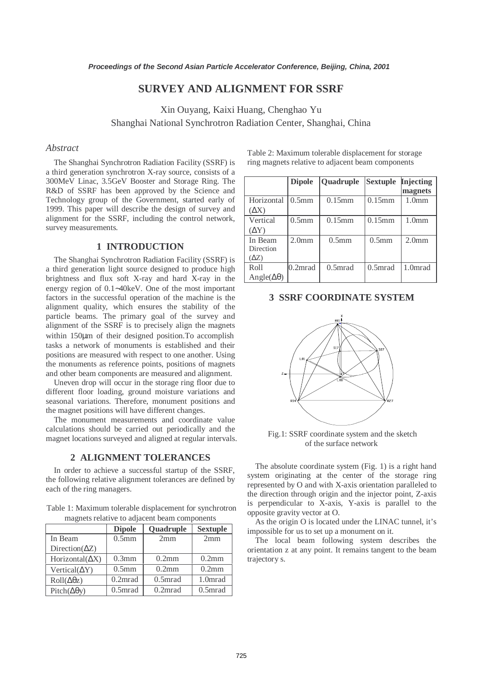# **SURVEY AND ALIGNMENT FOR SSRF**

Xin Ouyang, Kaixi Huang, Chenghao Yu Shanghai National Synchrotron Radiation Center, Shanghai, China

# *Abstract*

The Shanghai Synchrotron Radiation Facility (SSRF) is a third generation synchrotron X-ray source, consists of a 300MeV Linac, 3.5GeV Booster and Storage Ring. The R&D of SSRF has been approved by the Science and Technology group of the Government, started early of 1999. This paper will describe the design of survey and alignment for the SSRF, including the control network, survey measurements.

# **1 INTRODUCTION**

The Shanghai Synchrotron Radiation Facility (SSRF) is a third generation light source designed to produce high brightness and flux soft X-ray and hard X-ray in the energy region of 0.1∼40keV. One of the most important factors in the successful operation of the machine is the alignment quality, which ensures the stability of the particle beams. The primary goal of the survey and alignment of the SSRF is to precisely align the magnets within 150 $\mu$ m of their designed position. To accomplish tasks a network of monuments is established and their positions are measured with respect to one another. Using the monuments as reference points, positions of magnets and other beam components are measured and alignment.

Uneven drop will occur in the storage ring floor due to different floor loading, ground moisture variations and seasonal variations. Therefore, monument positions and the magnet positions will have different changes.

The monument measurements and coordinate value calculations should be carried out periodically and the magnet locations surveyed and aligned at regular intervals.

### **2 ALIGNMENT TOLERANCES**

In order to achieve a successful startup of the SSRF, the following relative alignment tolerances are defined by each of the ring managers.

Table 1: Maximum tolerable displacement for synchrotron magnets relative to adjacent beam components

|                          | <b>Dipole</b>            | Quadruple           | <b>Sextuple</b>     |
|--------------------------|--------------------------|---------------------|---------------------|
| In Beam                  | 0.5 <sub>mm</sub><br>2mm |                     | 2mm                 |
| Direction( $\Delta Z$ )  |                          |                     |                     |
| Horizontal( $\Delta$ X)  | $0.3$ mm                 | $0.2$ mm            | 0.2mm               |
| Vertical( $\Delta$ Y)    | 0.5 <sub>mm</sub>        | $0.2$ mm            | 0.2mm               |
| $Roll(\Delta\theta z)$   | 0.2 <sub>mrad</sub>      | 0.5 <sub>mrad</sub> | 1.0 <sub>mrad</sub> |
| Pitch( $\Delta\theta$ y) | 0.5 <sub>mrad</sub>      | 0.2 <sub>mrad</sub> | 0.5 <sub>mrad</sub> |

Table 2: Maximum tolerable displacement for storage ring magnets relative to adjacent beam components

|                         | <b>Dipole</b>       | Quadruple         | <b>Sextuple</b>     | <b>Injecting</b>    |
|-------------------------|---------------------|-------------------|---------------------|---------------------|
|                         |                     |                   |                     | magnets             |
| Horizontal              | 0.5 <sub>mm</sub>   | $0.15$ mm         | $0.15$ mm           | 1.0 <sub>mm</sub>   |
| $(\Delta \rm{X})$       |                     |                   |                     |                     |
| Vertical                | 0.5 <sub>mm</sub>   | $0.15$ mm         | $0.15$ mm           | 1.0 <sub>mm</sub>   |
| $(\Delta Y)$            |                     |                   |                     |                     |
| In Beam                 | 2.0 <sub>mm</sub>   | 0.5 <sub>mm</sub> | 0.5 <sub>mm</sub>   | 2.0 <sub>mm</sub>   |
| Direction               |                     |                   |                     |                     |
| $(\Delta Z)$            |                     |                   |                     |                     |
| Roll                    | 0.2 <sub>mrad</sub> | $0.5$ mrad        | 0.5 <sub>mrad</sub> | 1.0 <sub>mrad</sub> |
| Angle( $\Delta\theta$ ) |                     |                   |                     |                     |

# **3 SSRF COORDINATE SYSTEM**



Fig.1: SSRF coordinate system and the sketch of the surface network

The absolute coordinate system (Fig. 1) is a right hand system originating at the center of the storage ring represented by O and with X-axis orientation paralleled to the direction through origin and the injector point, Z-axis is perpendicular to X-axis, Y-axis is parallel to the opposite gravity vector at O.

As the origin O is located under the LINAC tunnel, it's impossible for us to set up a monument on it.

The local beam following system describes the orientation z at any point. It remains tangent to the beam trajectory s.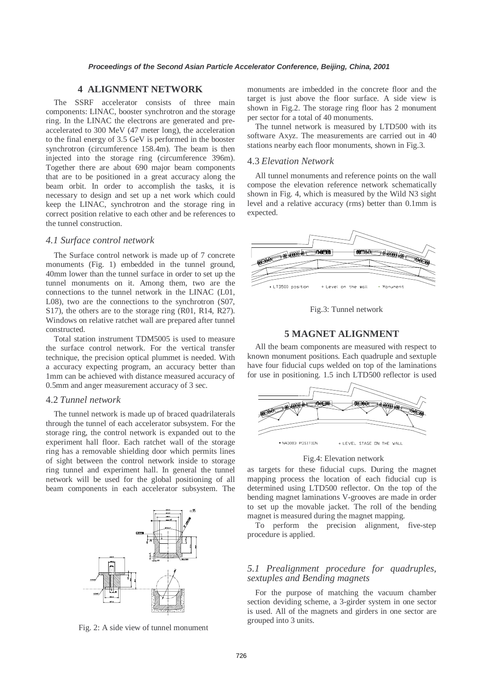### **4 ALIGNMENT NETWORK**

The SSRF accelerator consists of three main components: LINAC, booster synchrotron and the storage ring. In the LINAC the electrons are generated and preaccelerated to 300 MeV (47 meter long), the acceleration to the final energy of 3.5 GeV is performed in the booster synchrotron (circumference 158.4m). The beam is then injected into the storage ring (circumference 396m). Together there are about 690 major beam components that are to be positioned in a great accuracy along the beam orbit. In order to accomplish the tasks, it is necessary to design and set up a net work which could keep the LINAC, synchrotron and the storage ring in correct position relative to each other and be references to the tunnel construction.

#### *4.1 Surface control network*

The Surface control network is made up of 7 concrete monuments (Fig. 1) embedded in the tunnel ground, 40mm lower than the tunnel surface in order to set up the tunnel monuments on it. Among them, two are the connections to the tunnel network in the LINAC (L01, L08), two are the connections to the synchrotron (S07, S17), the others are to the storage ring (R01, R14, R27). Windows on relative ratchet wall are prepared after tunnel constructed.

Total station instrument TDM5005 is used to measure the surface control network. For the vertical transfer technique, the precision optical plummet is needed. With a accuracy expecting program, an accuracy better than 1mm can be achieved with distance measured accuracy of 0.5mm and anger measurement accuracy of 3 sec.

#### 4.2 *Tunnel network*

The tunnel network is made up of braced quadrilaterals through the tunnel of each accelerator subsystem. For the storage ring, the control network is expanded out to the experiment hall floor. Each ratchet wall of the storage ring has a removable shielding door which permits lines of sight between the control network inside to storage ring tunnel and experiment hall. In general the tunnel network will be used for the global positioning of all beam components in each accelerator subsystem. The



Fig. 2: A side view of tunnel monument

monuments are imbedded in the concrete floor and the target is just above the floor surface. A side view is shown in Fig.2. The storage ring floor has 2 monument per sector for a total of 40 monuments.

The tunnel network is measured by LTD500 with its software Axyz. The measurements are carried out in 40 stations nearby each floor monuments, shown in Fig.3.

#### 4.3 *Elevation Network*

All tunnel monuments and reference points on the wall compose the elevation reference network schematically shown in Fig. 4, which is measured by the Wild N3 sight level and a relative accuracy (rms) better than 0.1mm is expected.



Fig.3: Tunnel network

### **5 MAGNET ALIGNMENT**

All the beam components are measured with respect to known monument positions. Each quadruple and sextuple have four fiducial cups welded on top of the laminations for use in positioning. 1.5 inch LTD500 reflector is used



Fig.4: Elevation network

as targets for these fiducial cups. During the magnet mapping process the location of each fiducial cup is determined using LTD500 reflector. On the top of the bending magnet laminations V-grooves are made in order to set up the movable jacket. The roll of the bending magnet is measured during the magnet mapping.

To perform the precision alignment, five-step procedure is applied.

#### *5.1 Prealignment procedure for quadruples, sextuples and Bending magnets*

For the purpose of matching the vacuum chamber section deviding scheme, a 3-girder system in one sector is used. All of the magnets and girders in one sector are grouped into 3 units.